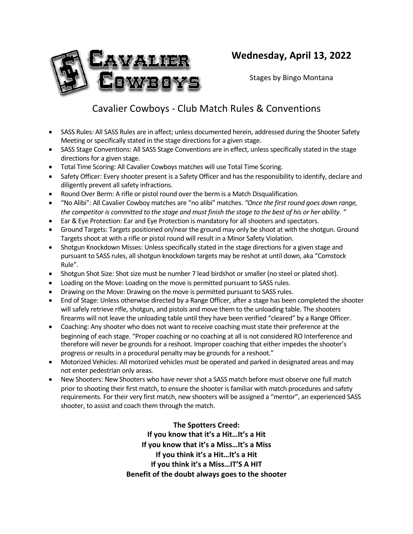

# **Wednesday, April 13, 2022**

Stages by Bingo Montana

# Cavalier Cowboys - Club Match Rules & Conventions

- SASS Rules: All SASS Rules are in affect; unless documented herein, addressed during the Shooter Safety Meeting or specifically stated in the stage directions for a given stage.
- SASS Stage Conventions: All SASS Stage Conventions are in effect, unless specifically stated in the stage directions for a given stage.
- Total Time Scoring: All Cavalier Cowboys matches will use Total Time Scoring.
- Safety Officer: Every shooter present is a Safety Officer and has the responsibility to identify, declare and diligently prevent all safety infractions.
- Round Over Berm: A rifle or pistol round over the berm is a Match Disqualification.
- "No Alibi": All Cavalier Cowboy matches are "no alibi" matches. *"Once the first round goes down range, the competitor is committed to the stage and must finish the stage to the best of his or her ability. "*
- Ear & Eye Protection: Ear and Eye Protection is mandatory for all shooters and spectators.
- Ground Targets: Targets positioned on/near the ground may only be shoot at with the shotgun. Ground Targets shoot at with a rifle or pistol round will result in a Minor Safety Violation.
- Shotgun Knockdown Misses: Unless specifically stated in the stage directions for a given stage and pursuant to SASS rules, all shotgun knockdown targets may be reshot at until down, aka "Comstock Rule".
- Shotgun Shot Size: Shot size must be number 7 lead birdshot or smaller (no steel or plated shot).
- Loading on the Move: Loading on the move is permitted pursuant to SASS rules.
- Drawing on the Move: Drawing on the move is permitted pursuant to SASS rules.
- End of Stage: Unless otherwise directed by a Range Officer, after a stage has been completed the shooter will safely retrieve rifle, shotgun, and pistols and move them to the unloading table. The shooters firearms will not leave the unloading table until they have been verified "cleared" by a Range Officer.
- Coaching: Any shooter who does not want to receive coaching must state their preference at the beginning of each stage. "Proper coaching or no coaching at all is not considered RO Interference and therefore will never be grounds for a reshoot. Improper coaching that either impedes the shooter's progress or results in a procedural penalty may be grounds for a reshoot."
- Motorized Vehicles: All motorized vehicles must be operated and parked in designated areas and may not enter pedestrian only areas.
- New Shooters: New Shooters who have never shot a SASS match before must observe one full match prior to shooting their first match, to ensure the shooter is familiar with match procedures and safety requirements. For their very first match, new shooters will be assigned a "mentor", an experienced SASS shooter, to assist and coach them through the match.

**The Spotters Creed: If you know that it's a Hit…It's a Hit If you know that it's a Miss…It's a Miss If you think it's a Hit…It's a Hit If you think it's a Miss…IT'S A HIT Benefit of the doubt always goes to the shooter**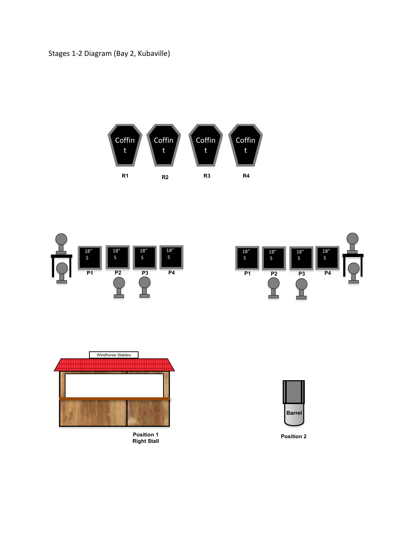Stages 1-2 Diagram (Bay 2, Kubaville)







**Position 1 Right Stall**



**Position 2**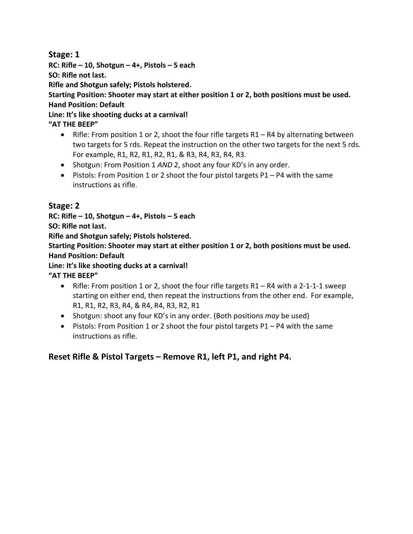#### **Stage: 1**

**RC: Rifle – 10, Shotgun – 4+, Pistols – 5 each**

**SO: Rifle not last.**

**Rifle and Shotgun safely; Pistols holstered.** 

**Starting Position: Shooter may start at either position 1 or 2, both positions must be used. Hand Position: Default**

**Line: It's like shooting ducks at a carnival!**

**"AT THE BEEP"**

- Rifle: From position 1 or 2, shoot the four rifle targets R1 R4 by alternating between two targets for 5 rds. Repeat the instruction on the other two targets for the next 5 rds. For example, R1, R2, R1, R2, R1, & R3, R4, R3, R4, R3.
- Shotgun: From Position 1 *AND* 2, shoot any four KD's in any order.
- Pistols: From Position 1 or 2 shoot the four pistol targets P1 P4 with the same instructions as rifle.

### **Stage: 2**

**RC: Rifle – 10, Shotgun – 4+, Pistols – 5 each**

**SO: Rifle not last.**

**Rifle and Shotgun safely; Pistols holstered.** 

**Starting Position: Shooter may start at either position 1 or 2, both positions must be used. Hand Position: Default**

**Line: It's like shooting ducks at a carnival!**

**"AT THE BEEP"**

- Rifle: From position 1 or 2, shoot the four rifle targets R1 R4 with a 2-1-1-1 sweep starting on either end, then repeat the instructions from the other end. For example, R1, R1, R2, R3, R4, & R4, R4, R3, R2, R1
- Shotgun: shoot any four KD's in any order. (Both positions *may* be used)
- Pistols: From Position 1 or 2 shoot the four pistol targets P1 P4 with the same instructions as rifle.

### **Reset Rifle & Pistol Targets – Remove R1, left P1, and right P4.**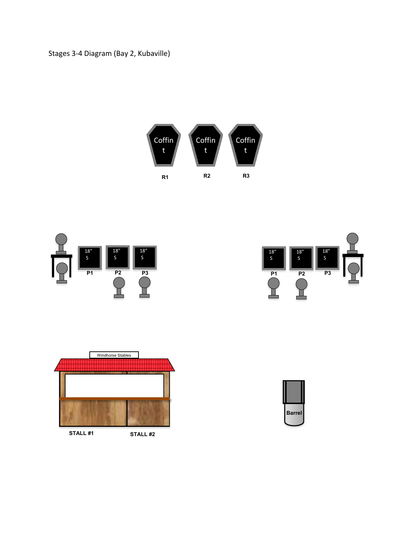







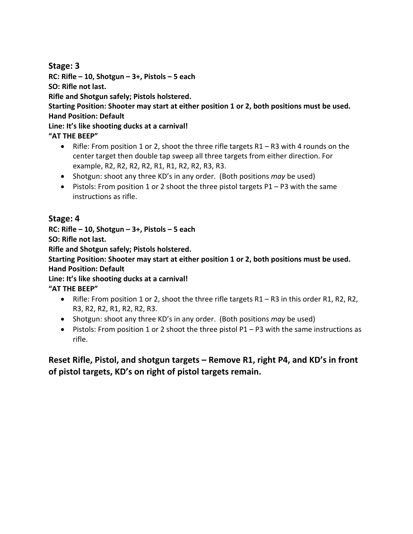#### **Stage: 3**

**RC: Rifle – 10, Shotgun – 3+, Pistols – 5 each SO: Rifle not last. Rifle and Shotgun safely; Pistols holstered. Starting Position: Shooter may start at either position 1 or 2, both positions must be used. Hand Position: Default Line: It's like shooting ducks at a carnival! "AT THE BEEP"**

- Rifle: From position 1 or 2, shoot the three rifle targets R1 R3 with 4 rounds on the center target then double tap sweep all three targets from either direction. For example, R2, R2, R2, R2, R1, R1, R2, R2, R3, R3.
- Shotgun: shoot any three KD's in any order. (Both positions *may* be used)
- Pistols: From position 1 or 2 shoot the three pistol targets  $P1 P3$  with the same instructions as rifle.

#### **Stage: 4**

**RC: Rifle – 10, Shotgun – 3+, Pistols – 5 each**

**SO: Rifle not last.**

**Rifle and Shotgun safely; Pistols holstered.** 

**Starting Position: Shooter may start at either position 1 or 2, both positions must be used. Hand Position: Default**

**Line: It's like shooting ducks at a carnival!**

**"AT THE BEEP"**

- Rifle: From position 1 or 2, shoot the three rifle targets R1 R3 in this order R1, R2, R2, R3, R2, R2, R1, R2, R2, R3.
- Shotgun: shoot any three KD's in any order. (Both positions *may* be used)
- Pistols: From position 1 or 2 shoot the three pistol P1 P3 with the same instructions as rifle.

**Reset Rifle, Pistol, and shotgun targets – Remove R1, right P4, and KD's in front of pistol targets, KD's on right of pistol targets remain.**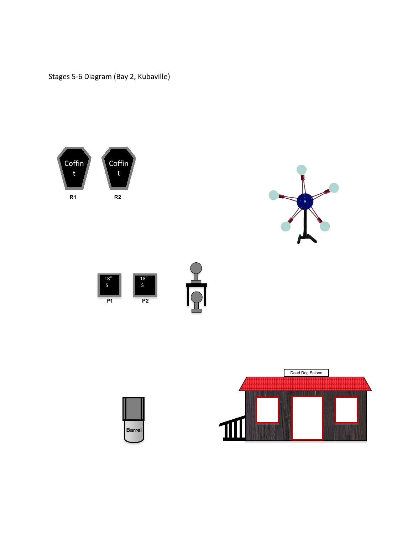Stages 5-6 Diagram (Bay 2, Kubaville)